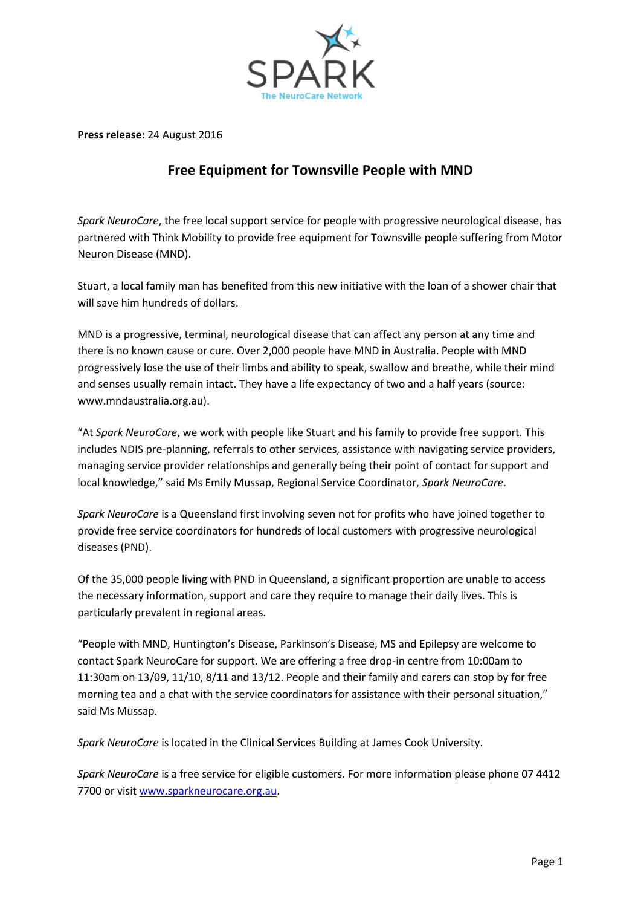

**Press release:** 24 August 2016

## **Free Equipment for Townsville People with MND**

*Spark NeuroCare*, the free local support service for people with progressive neurological disease, has partnered with Think Mobility to provide free equipment for Townsville people suffering from Motor Neuron Disease (MND).

Stuart, a local family man has benefited from this new initiative with the loan of a shower chair that will save him hundreds of dollars.

MND is a progressive, terminal, neurological disease that can affect any person at any time and there is no known cause or cure. Over 2,000 people have MND in Australia. People with MND progressively lose the use of their limbs and ability to speak, swallow and breathe, while their mind and senses usually remain intact. They have a life expectancy of two and a half years (source: [www.mndaustralia.org.au\)](http://www.mndaustralia.org.au/).

"At *Spark NeuroCare*, we work with people like Stuart and his family to provide free support. This includes NDIS pre-planning, referrals to other services, assistance with navigating service providers, managing service provider relationships and generally being their point of contact for support and local knowledge," said Ms Emily Mussap, Regional Service Coordinator, *Spark NeuroCare*.

*Spark NeuroCare* is a Queensland first involving seven not for profits who have joined together to provide free service coordinators for hundreds of local customers with progressive neurological diseases (PND).

Of the 35,000 people living with PND in Queensland, a significant proportion are unable to access the necessary information, support and care they require to manage their daily lives. This is particularly prevalent in regional areas.

"People with MND, Huntington's Disease, Parkinson's Disease, MS and Epilepsy are welcome to contact Spark NeuroCare for support. We are offering a free drop-in centre from 10:00am to 11:30am on 13/09, 11/10, 8/11 and 13/12. People and their family and carers can stop by for free morning tea and a chat with the service coordinators for assistance with their personal situation," said Ms Mussap.

*Spark NeuroCare* is located in the Clinical Services Building at James Cook University.

*Spark NeuroCare* is a free service for eligible customers. For more information please phone 07 4412 7700 or visi[t www.sparkneurocare.org.au.](http://www.sparkneurocare.org.au/)